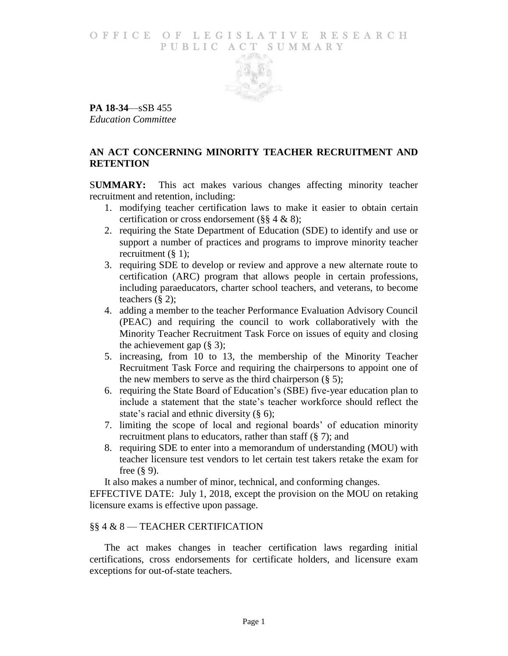### O F FICE OF LEGISLATIVE RESEARCH PUBLIC ACT SUMMARY



**PA 18-34**—sSB 455 *Education Committee*

# **AN ACT CONCERNING MINORITY TEACHER RECRUITMENT AND RETENTION**

S**UMMARY:** This act makes various changes affecting minority teacher recruitment and retention, including:

- 1. modifying teacher certification laws to make it easier to obtain certain certification or cross endorsement (§§ 4 & 8);
- 2. requiring the State Department of Education (SDE) to identify and use or support a number of practices and programs to improve minority teacher recruitment  $(\S 1)$ ;
- 3. requiring SDE to develop or review and approve a new alternate route to certification (ARC) program that allows people in certain professions, including paraeducators, charter school teachers, and veterans, to become teachers (§ 2);
- 4. adding a member to the teacher Performance Evaluation Advisory Council (PEAC) and requiring the council to work collaboratively with the Minority Teacher Recruitment Task Force on issues of equity and closing the achievement gap  $(\S 3)$ ;
- 5. increasing, from 10 to 13, the membership of the Minority Teacher Recruitment Task Force and requiring the chairpersons to appoint one of the new members to serve as the third chairperson  $(\S$  5);
- 6. requiring the State Board of Education's (SBE) five-year education plan to include a statement that the state's teacher workforce should reflect the state's racial and ethnic diversity (§ 6);
- 7. limiting the scope of local and regional boards' of education minority recruitment plans to educators, rather than staff (§ 7); and
- 8. requiring SDE to enter into a memorandum of understanding (MOU) with teacher licensure test vendors to let certain test takers retake the exam for free (§ 9).

It also makes a number of minor, technical, and conforming changes.

EFFECTIVE DATE: July 1, 2018, except the provision on the MOU on retaking licensure exams is effective upon passage.

## §§ 4 & 8 — TEACHER CERTIFICATION

The act makes changes in teacher certification laws regarding initial certifications, cross endorsements for certificate holders, and licensure exam exceptions for out-of-state teachers.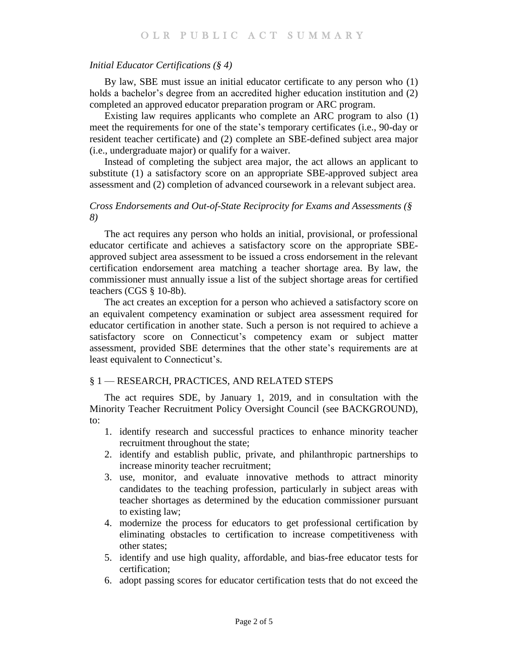#### *Initial Educator Certifications (§ 4)*

By law, SBE must issue an initial educator certificate to any person who (1) holds a bachelor's degree from an accredited higher education institution and (2) completed an approved educator preparation program or ARC program.

Existing law requires applicants who complete an ARC program to also (1) meet the requirements for one of the state's temporary certificates (i.e., 90-day or resident teacher certificate) and (2) complete an SBE-defined subject area major (i.e., undergraduate major) or qualify for a waiver.

Instead of completing the subject area major, the act allows an applicant to substitute (1) a satisfactory score on an appropriate SBE-approved subject area assessment and (2) completion of advanced coursework in a relevant subject area.

### *Cross Endorsements and Out-of-State Reciprocity for Exams and Assessments (§ 8)*

The act requires any person who holds an initial, provisional, or professional educator certificate and achieves a satisfactory score on the appropriate SBEapproved subject area assessment to be issued a cross endorsement in the relevant certification endorsement area matching a teacher shortage area. By law, the commissioner must annually issue a list of the subject shortage areas for certified teachers (CGS § 10-8b).

The act creates an exception for a person who achieved a satisfactory score on an equivalent competency examination or subject area assessment required for educator certification in another state. Such a person is not required to achieve a satisfactory score on Connecticut's competency exam or subject matter assessment, provided SBE determines that the other state's requirements are at least equivalent to Connecticut's.

#### § 1 — RESEARCH, PRACTICES, AND RELATED STEPS

The act requires SDE, by January 1, 2019, and in consultation with the Minority Teacher Recruitment Policy Oversight Council (see BACKGROUND), to:

- 1. identify research and successful practices to enhance minority teacher recruitment throughout the state;
- 2. identify and establish public, private, and philanthropic partnerships to increase minority teacher recruitment;
- 3. use, monitor, and evaluate innovative methods to attract minority candidates to the teaching profession, particularly in subject areas with teacher shortages as determined by the education commissioner pursuant to existing law;
- 4. modernize the process for educators to get professional certification by eliminating obstacles to certification to increase competitiveness with other states;
- 5. identify and use high quality, affordable, and bias-free educator tests for certification;
- 6. adopt passing scores for educator certification tests that do not exceed the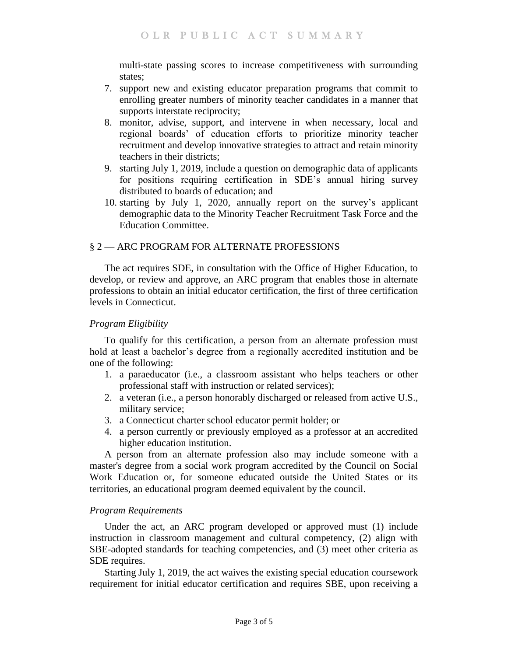multi-state passing scores to increase competitiveness with surrounding states;

- 7. support new and existing educator preparation programs that commit to enrolling greater numbers of minority teacher candidates in a manner that supports interstate reciprocity;
- 8. monitor, advise, support, and intervene in when necessary, local and regional boards' of education efforts to prioritize minority teacher recruitment and develop innovative strategies to attract and retain minority teachers in their districts;
- 9. starting July 1, 2019, include a question on demographic data of applicants for positions requiring certification in SDE's annual hiring survey distributed to boards of education; and
- 10. starting by July 1, 2020, annually report on the survey's applicant demographic data to the Minority Teacher Recruitment Task Force and the Education Committee.

# § 2 — ARC PROGRAM FOR ALTERNATE PROFESSIONS

The act requires SDE, in consultation with the Office of Higher Education, to develop, or review and approve, an ARC program that enables those in alternate professions to obtain an initial educator certification, the first of three certification levels in Connecticut.

## *Program Eligibility*

To qualify for this certification, a person from an alternate profession must hold at least a bachelor's degree from a regionally accredited institution and be one of the following:

- 1. a paraeducator (i.e., a classroom assistant who helps teachers or other professional staff with instruction or related services);
- 2. a veteran (i.e., a person honorably discharged or released from active U.S., military service;
- 3. a Connecticut charter school educator permit holder; or
- 4. a person currently or previously employed as a professor at an accredited higher education institution.

A person from an alternate profession also may include someone with a master's degree from a social work program accredited by the Council on Social Work Education or, for someone educated outside the United States or its territories, an educational program deemed equivalent by the council.

## *Program Requirements*

Under the act, an ARC program developed or approved must (1) include instruction in classroom management and cultural competency, (2) align with SBE-adopted standards for teaching competencies, and (3) meet other criteria as SDE requires.

Starting July 1, 2019, the act waives the existing special education coursework requirement for initial educator certification and requires SBE, upon receiving a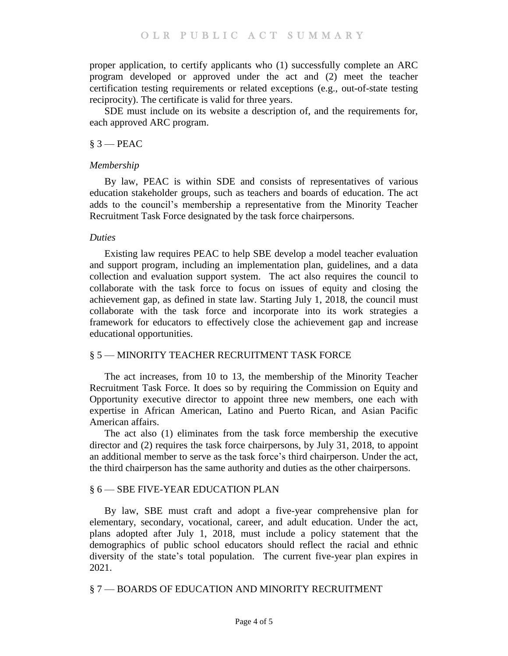proper application, to certify applicants who (1) successfully complete an ARC program developed or approved under the act and (2) meet the teacher certification testing requirements or related exceptions (e.g., out-of-state testing reciprocity). The certificate is valid for three years.

SDE must include on its website a description of, and the requirements for, each approved ARC program.

#### $§$  3 — PEAC

#### *Membership*

By law, PEAC is within SDE and consists of representatives of various education stakeholder groups, such as teachers and boards of education. The act adds to the council's membership a representative from the Minority Teacher Recruitment Task Force designated by the task force chairpersons.

### *Duties*

Existing law requires PEAC to help SBE develop a model teacher evaluation and support program, including an implementation plan, guidelines, and a data collection and evaluation support system. The act also requires the council to collaborate with the task force to focus on issues of equity and closing the achievement gap, as defined in state law. Starting July 1, 2018, the council must collaborate with the task force and incorporate into its work strategies a framework for educators to effectively close the achievement gap and increase educational opportunities.

## § 5 — MINORITY TEACHER RECRUITMENT TASK FORCE

The act increases, from 10 to 13, the membership of the Minority Teacher Recruitment Task Force. It does so by requiring the Commission on Equity and Opportunity executive director to appoint three new members, one each with expertise in African American, Latino and Puerto Rican, and Asian Pacific American affairs.

The act also (1) eliminates from the task force membership the executive director and (2) requires the task force chairpersons, by July 31, 2018, to appoint an additional member to serve as the task force's third chairperson. Under the act, the third chairperson has the same authority and duties as the other chairpersons.

#### § 6 — SBE FIVE-YEAR EDUCATION PLAN

By law, SBE must craft and adopt a five-year comprehensive plan for elementary, secondary, vocational, career, and adult education. Under the act, plans adopted after July 1, 2018, must include a policy statement that the demographics of public school educators should reflect the racial and ethnic diversity of the state's total population. The current five-year plan expires in 2021.

§ 7 — BOARDS OF EDUCATION AND MINORITY RECRUITMENT